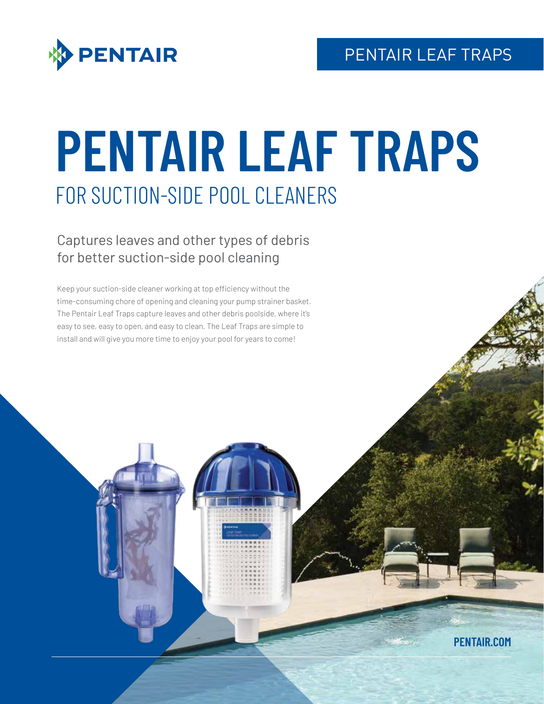

# **PENTAIR LEAF TRAPS** FOR SUCTION-SIDE POOL CLEANERS

Captures leaves and other types of debris for better suction-side pool cleaning

Keep your suction-side cleaner working at top efficiency without the time-consuming chore of opening and cleaning your pump strainer basket. The Pentair Leaf Traps capture leaves and other debris poolside, where it's easy to see, easy to open, and easy to clean. The Leaf Traps are simple to install and will give you more time to enjoy your pool for years to come!